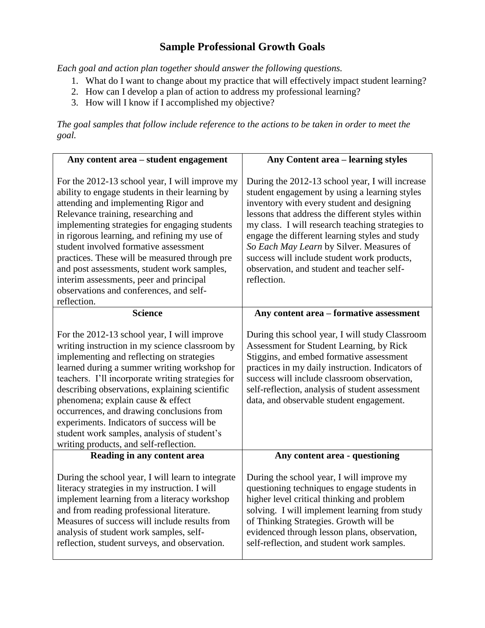## **Sample Professional Growth Goals**

*Each goal and action plan together should answer the following questions.* 

- 1. What do I want to change about my practice that will effectively impact student learning?
- 2. How can I develop a plan of action to address my professional learning?
- 3. How will I know if I accomplished my objective?

*The goal samples that follow include reference to the actions to be taken in order to meet the goal.*

| Any content area – student engagement                                                                                                                                                                                                                                                                                                                                                                                                                                                                                           | <b>Any Content area - learning styles</b>                                                                                                                                                                                                                                                                                                                                                                                                                        |
|---------------------------------------------------------------------------------------------------------------------------------------------------------------------------------------------------------------------------------------------------------------------------------------------------------------------------------------------------------------------------------------------------------------------------------------------------------------------------------------------------------------------------------|------------------------------------------------------------------------------------------------------------------------------------------------------------------------------------------------------------------------------------------------------------------------------------------------------------------------------------------------------------------------------------------------------------------------------------------------------------------|
| For the 2012-13 school year, I will improve my<br>ability to engage students in their learning by<br>attending and implementing Rigor and<br>Relevance training, researching and<br>implementing strategies for engaging students<br>in rigorous learning, and refining my use of<br>student involved formative assessment<br>practices. These will be measured through pre<br>and post assessments, student work samples,<br>interim assessments, peer and principal<br>observations and conferences, and self-<br>reflection. | During the 2012-13 school year, I will increase<br>student engagement by using a learning styles<br>inventory with every student and designing<br>lessons that address the different styles within<br>my class. I will research teaching strategies to<br>engage the different learning styles and study<br>So Each May Learn by Silver. Measures of<br>success will include student work products,<br>observation, and student and teacher self-<br>reflection. |
| <b>Science</b>                                                                                                                                                                                                                                                                                                                                                                                                                                                                                                                  | Any content area - formative assessment                                                                                                                                                                                                                                                                                                                                                                                                                          |
| For the 2012-13 school year, I will improve<br>writing instruction in my science classroom by<br>implementing and reflecting on strategies<br>learned during a summer writing workshop for<br>teachers. I'll incorporate writing strategies for<br>describing observations, explaining scientific<br>phenomena; explain cause & effect<br>occurrences, and drawing conclusions from<br>experiments. Indicators of success will be<br>student work samples, analysis of student's<br>writing products, and self-reflection.      | During this school year, I will study Classroom<br>Assessment for Student Learning, by Rick<br>Stiggins, and embed formative assessment<br>practices in my daily instruction. Indicators of<br>success will include classroom observation,<br>self-reflection, analysis of student assessment<br>data, and observable student engagement.                                                                                                                        |
| Reading in any content area                                                                                                                                                                                                                                                                                                                                                                                                                                                                                                     | Any content area - questioning                                                                                                                                                                                                                                                                                                                                                                                                                                   |
| During the school year, I will learn to integrate<br>literacy strategies in my instruction. I will<br>implement learning from a literacy workshop<br>and from reading professional literature.<br>Measures of success will include results from<br>analysis of student work samples, self-<br>reflection, student surveys, and observation.                                                                                                                                                                                     | During the school year, I will improve my<br>questioning techniques to engage students in<br>higher level critical thinking and problem<br>solving. I will implement learning from study<br>of Thinking Strategies. Growth will be<br>evidenced through lesson plans, observation,<br>self-reflection, and student work samples.                                                                                                                                 |